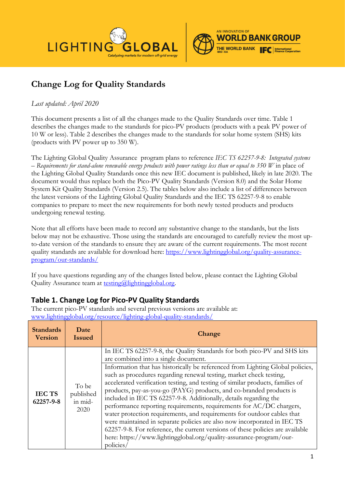



## **Change Log for Quality Standards**

## *Last updated: April 2020*

This document presents a list of all the changes made to the Quality Standards over time. Table 1 describes the changes made to the standards for pico-PV products (products with a peak PV power of 10 W or less). Table 2 describes the changes made to the standards for solar home system (SHS) kits (products with PV power up to 350 W).

The Lighting Global Quality Assurance program plans to reference *IEC TS 62257-9-8: Integrated systems – Requirements for stand-alone renewable energy products with power ratings less than or equal to 350 W* in place of the Lighting Global Quality Standards once this new IEC document is published, likely in late 2020. The document would thus replace both the Pico-PV Quality Standards (Version 8.0) and the Solar Home System Kit Quality Standards (Version 2.5). The tables below also include a list of differences between the latest versions of the Lighting Global Quality Standards and the IEC TS 62257-9-8 to enable companies to prepare to meet the new requirements for both newly tested products and products undergoing renewal testing.

Note that all efforts have been made to record any substantive change to the standards, but the lists below may not be exhaustive. Those using the standards are encouraged to carefully review the most upto-date version of the standards to ensure they are aware of the current requirements. The most recent quality standards are available for download here: [https://www.lightingglobal.org/quality-assurance](https://www.lightingglobal.org/quality-assurance-program/our-standards/)[program/our-standards/](https://www.lightingglobal.org/quality-assurance-program/our-standards/)

If you have questions regarding any of the changes listed below, please contact the Lighting Global Quality Assurance team at  $\text{testing}(a)$ lightingglobal.org.

## **Table 1. Change Log for Pico-PV Quality Standards**

The current pico-PV standards and several previous versions are available at: [www.lightingglobal.org/resource/lighting-global-quality-standards/](http://www.lightingglobal.org/resource/lighting-global-quality-standards/)

| <b>Standards</b><br><b>Version</b> | Date<br><b>Issued</b>                 | Change                                                                                                                                                                                                                                                                                                                                                                                                                                                                                                                                                                                                                                                                                                 |
|------------------------------------|---------------------------------------|--------------------------------------------------------------------------------------------------------------------------------------------------------------------------------------------------------------------------------------------------------------------------------------------------------------------------------------------------------------------------------------------------------------------------------------------------------------------------------------------------------------------------------------------------------------------------------------------------------------------------------------------------------------------------------------------------------|
| <b>IECTS</b><br>62257-9-8          |                                       | In IEC TS 62257-9-8, the Quality Standards for both pico-PV and SHS kits<br>are combined into a single document.<br>Information that has historically be referenced from Lighting Global policies,                                                                                                                                                                                                                                                                                                                                                                                                                                                                                                     |
|                                    | To be<br>published<br>in mid-<br>2020 | such as procedures regarding renewal testing, market check testing,<br>accelerated verification testing, and testing of similar products, families of<br>products, pay-as-you-go (PAYG) products, and co-branded products is<br>included in IEC TS 62257-9-8. Additionally, details regarding the<br>performance reporting requirements, requirements for AC/DC chargers,<br>water protection requirements, and requirements for outdoor cables that<br>were maintained in separate policies are also now incorporated in IEC TS<br>62257-9-8. For reference, the current versions of these policies are available<br>here: https://www.lightingglobal.org/quality-assurance-program/our-<br>policies/ |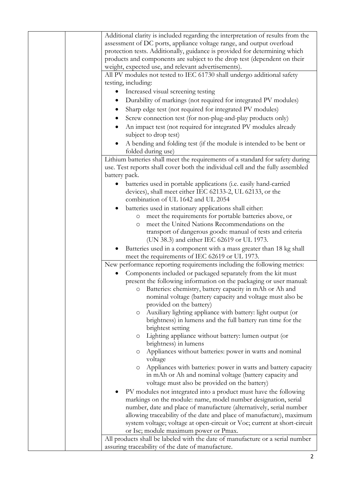| Additional clarity is included regarding the interpretation of results from the<br>assessment of DC ports, appliance voltage range, and output overload<br>protection tests. Additionally, guidance is provided for determining which |
|---------------------------------------------------------------------------------------------------------------------------------------------------------------------------------------------------------------------------------------|
| products and components are subject to the drop test (dependent on their<br>weight, expected use, and relevant advertisements).                                                                                                       |
| All PV modules not tested to IEC 61730 shall undergo additional safety                                                                                                                                                                |
| testing, including:                                                                                                                                                                                                                   |
| Increased visual screening testing                                                                                                                                                                                                    |
|                                                                                                                                                                                                                                       |
| Durability of markings (not required for integrated PV modules)                                                                                                                                                                       |
| Sharp edge test (not required for integrated PV modules)                                                                                                                                                                              |
| Screw connection test (for non-plug-and-play products only)                                                                                                                                                                           |
| An impact test (not required for integrated PV modules already<br>subject to drop test)                                                                                                                                               |
| A bending and folding test (if the module is intended to be bent or<br>folded during use)                                                                                                                                             |
| Lithium batteries shall meet the requirements of a standard for safety during                                                                                                                                                         |
| use. Test reports shall cover both the individual cell and the fully assembled                                                                                                                                                        |
| battery pack.                                                                                                                                                                                                                         |
| batteries used in portable applications (i.e. easily hand-carried                                                                                                                                                                     |
| devices), shall meet either IEC 62133-2, UL 62133, or the                                                                                                                                                                             |
| combination of UL 1642 and UL 2054                                                                                                                                                                                                    |
| batteries used in stationary applications shall either:                                                                                                                                                                               |
| meet the requirements for portable batteries above, or<br>$\circ$                                                                                                                                                                     |
| meet the United Nations Recommendations on the<br>O                                                                                                                                                                                   |
| transport of dangerous goods: manual of tests and criteria<br>(UN 38.3) and either IEC 62619 or UL 1973.                                                                                                                              |
| Batteries used in a component with a mass greater than 18 kg shall<br>meet the requirements of IEC 62619 or UL 1973.                                                                                                                  |
| New performance reporting requirements including the following metrics:                                                                                                                                                               |
| Components included or packaged separately from the kit must                                                                                                                                                                          |
| present the following information on the packaging or user manual:                                                                                                                                                                    |
| O Batteries: chemistry, battery capacity in mAh or Ah and                                                                                                                                                                             |
| nominal voltage (battery capacity and voltage must also be                                                                                                                                                                            |
| provided on the battery)                                                                                                                                                                                                              |
| Auxiliary lighting appliance with battery: light output (or<br>O<br>brightness) in lumens and the full battery run time for the                                                                                                       |
| brightest setting                                                                                                                                                                                                                     |
| Lighting appliance without battery: lumen output (or<br>O                                                                                                                                                                             |
| brightness) in lumens                                                                                                                                                                                                                 |
| Appliances without batteries: power in watts and nominal<br>O                                                                                                                                                                         |
| voltage                                                                                                                                                                                                                               |
| Appliances with batteries: power in watts and battery capacity<br>$\circ$                                                                                                                                                             |
|                                                                                                                                                                                                                                       |
| in mAh or Ah and nominal voltage (battery capacity and                                                                                                                                                                                |
| voltage must also be provided on the battery)                                                                                                                                                                                         |
| PV modules not integrated into a product must have the following                                                                                                                                                                      |
| markings on the module: name, model number designation, serial                                                                                                                                                                        |
| number, date and place of manufacture (alternatively, serial number                                                                                                                                                                   |
| allowing traceability of the date and place of manufacture), maximum                                                                                                                                                                  |
| system voltage; voltage at open-circuit or Voc; current at short-circuit                                                                                                                                                              |
| or Isc; module maximum power or Pmax.                                                                                                                                                                                                 |
| All products shall be labeled with the date of manufacture or a serial number<br>assuring traceability of the date of manufacture.                                                                                                    |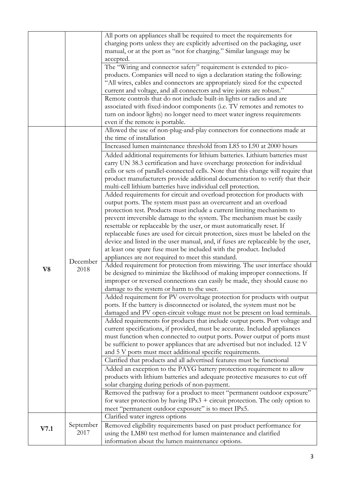|      |           | All ports on appliances shall be required to meet the requirements for             |
|------|-----------|------------------------------------------------------------------------------------|
|      |           | charging ports unless they are explicitly advertised on the packaging, user        |
|      |           | manual, or at the port as "not for charging." Similar language may be              |
|      |           | accepted.                                                                          |
|      |           |                                                                                    |
|      |           | The "Wiring and connector safety" requirement is extended to pico-                 |
|      |           | products. Companies will need to sign a declaration stating the following:         |
|      |           | "All wires, cables and connectors are appropriately sized for the expected         |
|      |           | current and voltage, and all connectors and wire joints are robust."               |
|      |           | Remote controls that do not include built-in lights or radios and are              |
|      |           | associated with fixed-indoor components (i.e. TV remotes and remotes to            |
|      |           | turn on indoor lights) no longer need to meet water ingress requirements           |
|      |           |                                                                                    |
|      |           | even if the remote is portable.                                                    |
|      |           | Allowed the use of non-plug-and-play connectors for connections made at            |
|      |           | the time of installation                                                           |
|      |           | Increased lumen maintenance threshold from L85 to L90 at 2000 hours                |
|      |           | Added additional requirements for lithium batteries. Lithium batteries must        |
|      |           | carry UN 38.3 certification and have overcharge protection for individual          |
|      |           |                                                                                    |
|      |           | cells or sets of parallel-connected cells. Note that this change will require that |
|      |           | product manufacturers provide additional documentation to verify that their        |
|      |           | multi-cell lithium batteries have individual cell protection.                      |
|      |           | Added requirements for circuit and overload protection for products with           |
|      |           | output ports. The system must pass an overcurrent and an overload                  |
|      |           | protection test. Products must include a current limiting mechanism to             |
|      |           | prevent irreversible damage to the system. The mechanism must be easily            |
|      |           | resettable or replaceable by the user, or must automatically reset. If             |
|      |           |                                                                                    |
|      |           | replaceable fuses are used for circuit protection, sizes must be labeled on the    |
|      |           | device and listed in the user manual, and, if fuses are replaceable by the user,   |
|      |           | at least one spare fuse must be included with the product. Included                |
|      |           | appliances are not required to meet this standard.                                 |
|      | December  | Added requirement for protection from miswiring. The user interface should         |
| V8   | 2018      | be designed to minimize the likelihood of making improper connections. If          |
|      |           | improper or reversed connections can easily be made, they should cause no          |
|      |           | damage to the system or harm to the user.                                          |
|      |           | Added requirement for PV overvoltage protection for products with output           |
|      |           |                                                                                    |
|      |           | ports. If the battery is disconnected or isolated, the system must not be          |
|      |           | damaged and PV open-circuit voltage must not be present on load terminals.         |
|      |           | Added requirements for products that include output ports. Port voltage and        |
|      |           | current specifications, if provided, must be accurate. Included appliances         |
|      |           | must function when connected to output ports. Power output of ports must           |
|      |           | be sufficient to power appliances that are advertised but not included. 12 V       |
|      |           | and 5 V ports must meet additional specific requirements.                          |
|      |           | Clarified that products and all advertised features must be functional             |
|      |           | Added an exception to the PAYG battery protection requirement to allow             |
|      |           | products with lithium batteries and adequate protective measures to cut off        |
|      |           |                                                                                    |
|      |           | solar charging during periods of non-payment.                                      |
|      |           | Removed the pathway for a product to meet "permanent outdoor exposure"             |
|      |           | for water protection by having $IPx3$ + circuit protection. The only option to     |
|      |           | meet "permanent outdoor exposure" is to meet IPx5.                                 |
|      |           | Clarified water ingress options                                                    |
| V7.1 | September | Removed eligibility requirements based on past product performance for             |
|      | 2017      | using the LM80 test method for lumen maintenance and clarified                     |
|      |           | information about the lumen maintenance options.                                   |
|      |           |                                                                                    |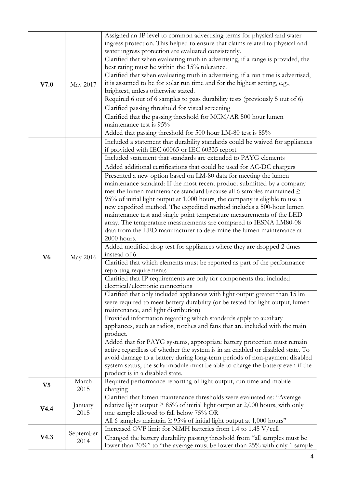| V7.0           | May 2017          | Assigned an IP level to common advertising terms for physical and water<br>ingress protection. This helped to ensure that claims related to physical and<br>water ingress protection are evaluated consistently.<br>Clarified that when evaluating truth in advertising, if a range is provided, the<br>best rating must be within the 15% tolerance.<br>Clarified that when evaluating truth in advertising, if a run time is advertised,<br>it is assumed to be for solar run time and for the highest setting, e.g.,<br>brightest, unless otherwise stated.<br>Required 6 out of 6 samples to pass durability tests (previously 5 out of 6)<br>Clarified passing threshold for visual screening<br>Clarified that the passing threshold for MCM/AR 500 hour lumen<br>maintenance test is 95%<br>Added that passing threshold for 500 hour LM-80 test is 85%                         |
|----------------|-------------------|----------------------------------------------------------------------------------------------------------------------------------------------------------------------------------------------------------------------------------------------------------------------------------------------------------------------------------------------------------------------------------------------------------------------------------------------------------------------------------------------------------------------------------------------------------------------------------------------------------------------------------------------------------------------------------------------------------------------------------------------------------------------------------------------------------------------------------------------------------------------------------------|
|                |                   | Included a statement that durability standards could be waived for appliances<br>if provided with IEC 60065 or IEC 60335 report<br>Included statement that standards are extended to PAYG elements<br>Added additional certifications that could be used for AC-DC chargers<br>Presented a new option based on LM-80 data for meeting the lumen<br>maintenance standard: If the most recent product submitted by a company<br>met the lumen maintenance standard because all 6 samples maintained $\geq$<br>95% of initial light output at 1,000 hours, the company is eligible to use a<br>new expedited method. The expedited method includes a 500-hour lumen<br>maintenance test and single point temperature measurements of the LED<br>array. The temperature measurements are compared to IESNA LM80-08<br>data from the LED manufacturer to determine the lumen maintenance at |
| V <sub>6</sub> | May 2016          | 2000 hours.<br>Added modified drop test for appliances where they are dropped 2 times<br>instead of 6<br>Clarified that which elements must be reported as part of the performance<br>reporting requirements<br>Clarified that IP requirements are only for components that included<br>electrical/electronic connections<br>Clarified that only included appliances with light output greater than 15 lm<br>were required to meet battery durability (or be tested for light output, lumen<br>maintenance, and light distribution)<br>Provided information regarding which standards apply to auxiliary<br>appliances, such as radios, torches and fans that are included with the main                                                                                                                                                                                               |
|                |                   | product.<br>Added that for PAYG systems, appropriate battery protection must remain<br>active regardless of whether the system is in an enabled or disabled state. To<br>avoid damage to a battery during long-term periods of non-payment disabled<br>system status, the solar module must be able to charge the battery even if the<br>product is in a disabled state.                                                                                                                                                                                                                                                                                                                                                                                                                                                                                                               |
| V <sub>5</sub> | March<br>2015     | Required performance reporting of light output, run time and mobile<br>charging                                                                                                                                                                                                                                                                                                                                                                                                                                                                                                                                                                                                                                                                                                                                                                                                        |
| V4.4           | January<br>2015   | Clarified that lumen maintenance thresholds were evaluated as: "Average<br>relative light output $\geq 85\%$ of initial light output at 2,000 hours, with only<br>one sample allowed to fall below 75% OR<br>All 6 samples maintain $\geq$ 95% of initial light output at 1,000 hours"                                                                                                                                                                                                                                                                                                                                                                                                                                                                                                                                                                                                 |
| V4.3           | September<br>2014 | Increased OVP limit for NiMH batteries from 1.4 to 1.45 V/cell<br>Changed the battery durability passing threshold from "all samples must be<br>lower than 20%" to "the average must be lower than 25% with only 1 sample                                                                                                                                                                                                                                                                                                                                                                                                                                                                                                                                                                                                                                                              |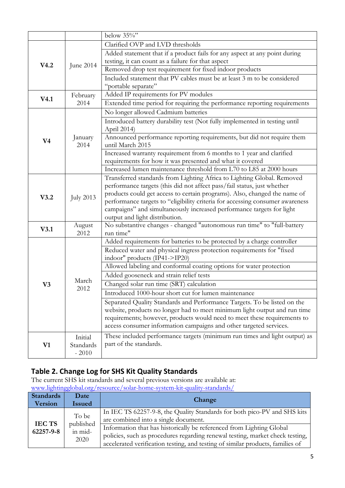| Clarified OVP and LVD thresholds<br>Added statement that if a product fails for any aspect at any point during<br>testing, it can count as a failure for that aspect<br>V4.2<br>June 2014<br>Removed drop test requirement for fixed indoor products<br>Included statement that PV cables must be at least 3 m to be considered<br>"portable separate"<br>Added IP requirements for PV modules<br>February<br>V4.1<br>Extended time period for requiring the performance reporting requirements<br>2014<br>No longer allowed Cadmium batteries<br>Introduced battery durability test (Not fully implemented in testing until<br>April 2014)<br>Announced performance reporting requirements, but did not require them<br>January<br>V <sub>4</sub><br>until March 2015<br>2014<br>Increased warranty requirement from 6 months to 1 year and clarified<br>requirements for how it was presented and what it covered<br>Increased lumen maintenance threshold from L70 to L85 at 2000 hours<br>Transferred standards from Lighting Africa to Lighting Global. Removed<br>performance targets (this did not affect pass/fail status, just whether<br>products could get access to certain programs). Also, changed the name of<br>V3.2<br><b>July 2013</b><br>performance targets to "eligibility criteria for accessing consumer awareness<br>campaigns" and simultaneously increased performance targets for light<br>output and light distribution.<br>No substantive changes - changed "autonomous run time" to "full-battery<br>August<br>V3.1<br>2012<br>run time"<br>Added requirements for batteries to be protected by a charge controller<br>Reduced water and physical ingress protection requirements for "fixed<br>indoor" products (IP41->IP20)<br>Allowed labeling and conformal coating options for water protection<br>Added gooseneck and strain relief tests |                |               | below $35\%$                             |
|-------------------------------------------------------------------------------------------------------------------------------------------------------------------------------------------------------------------------------------------------------------------------------------------------------------------------------------------------------------------------------------------------------------------------------------------------------------------------------------------------------------------------------------------------------------------------------------------------------------------------------------------------------------------------------------------------------------------------------------------------------------------------------------------------------------------------------------------------------------------------------------------------------------------------------------------------------------------------------------------------------------------------------------------------------------------------------------------------------------------------------------------------------------------------------------------------------------------------------------------------------------------------------------------------------------------------------------------------------------------------------------------------------------------------------------------------------------------------------------------------------------------------------------------------------------------------------------------------------------------------------------------------------------------------------------------------------------------------------------------------------------------------------------------------------------------------------------------------------------------------------|----------------|---------------|------------------------------------------|
|                                                                                                                                                                                                                                                                                                                                                                                                                                                                                                                                                                                                                                                                                                                                                                                                                                                                                                                                                                                                                                                                                                                                                                                                                                                                                                                                                                                                                                                                                                                                                                                                                                                                                                                                                                                                                                                                               |                |               |                                          |
|                                                                                                                                                                                                                                                                                                                                                                                                                                                                                                                                                                                                                                                                                                                                                                                                                                                                                                                                                                                                                                                                                                                                                                                                                                                                                                                                                                                                                                                                                                                                                                                                                                                                                                                                                                                                                                                                               |                |               |                                          |
|                                                                                                                                                                                                                                                                                                                                                                                                                                                                                                                                                                                                                                                                                                                                                                                                                                                                                                                                                                                                                                                                                                                                                                                                                                                                                                                                                                                                                                                                                                                                                                                                                                                                                                                                                                                                                                                                               |                |               |                                          |
|                                                                                                                                                                                                                                                                                                                                                                                                                                                                                                                                                                                                                                                                                                                                                                                                                                                                                                                                                                                                                                                                                                                                                                                                                                                                                                                                                                                                                                                                                                                                                                                                                                                                                                                                                                                                                                                                               |                |               |                                          |
|                                                                                                                                                                                                                                                                                                                                                                                                                                                                                                                                                                                                                                                                                                                                                                                                                                                                                                                                                                                                                                                                                                                                                                                                                                                                                                                                                                                                                                                                                                                                                                                                                                                                                                                                                                                                                                                                               |                |               |                                          |
|                                                                                                                                                                                                                                                                                                                                                                                                                                                                                                                                                                                                                                                                                                                                                                                                                                                                                                                                                                                                                                                                                                                                                                                                                                                                                                                                                                                                                                                                                                                                                                                                                                                                                                                                                                                                                                                                               |                |               |                                          |
|                                                                                                                                                                                                                                                                                                                                                                                                                                                                                                                                                                                                                                                                                                                                                                                                                                                                                                                                                                                                                                                                                                                                                                                                                                                                                                                                                                                                                                                                                                                                                                                                                                                                                                                                                                                                                                                                               |                |               |                                          |
|                                                                                                                                                                                                                                                                                                                                                                                                                                                                                                                                                                                                                                                                                                                                                                                                                                                                                                                                                                                                                                                                                                                                                                                                                                                                                                                                                                                                                                                                                                                                                                                                                                                                                                                                                                                                                                                                               |                |               |                                          |
|                                                                                                                                                                                                                                                                                                                                                                                                                                                                                                                                                                                                                                                                                                                                                                                                                                                                                                                                                                                                                                                                                                                                                                                                                                                                                                                                                                                                                                                                                                                                                                                                                                                                                                                                                                                                                                                                               |                |               |                                          |
|                                                                                                                                                                                                                                                                                                                                                                                                                                                                                                                                                                                                                                                                                                                                                                                                                                                                                                                                                                                                                                                                                                                                                                                                                                                                                                                                                                                                                                                                                                                                                                                                                                                                                                                                                                                                                                                                               |                |               |                                          |
|                                                                                                                                                                                                                                                                                                                                                                                                                                                                                                                                                                                                                                                                                                                                                                                                                                                                                                                                                                                                                                                                                                                                                                                                                                                                                                                                                                                                                                                                                                                                                                                                                                                                                                                                                                                                                                                                               |                |               |                                          |
|                                                                                                                                                                                                                                                                                                                                                                                                                                                                                                                                                                                                                                                                                                                                                                                                                                                                                                                                                                                                                                                                                                                                                                                                                                                                                                                                                                                                                                                                                                                                                                                                                                                                                                                                                                                                                                                                               |                |               |                                          |
|                                                                                                                                                                                                                                                                                                                                                                                                                                                                                                                                                                                                                                                                                                                                                                                                                                                                                                                                                                                                                                                                                                                                                                                                                                                                                                                                                                                                                                                                                                                                                                                                                                                                                                                                                                                                                                                                               |                |               |                                          |
|                                                                                                                                                                                                                                                                                                                                                                                                                                                                                                                                                                                                                                                                                                                                                                                                                                                                                                                                                                                                                                                                                                                                                                                                                                                                                                                                                                                                                                                                                                                                                                                                                                                                                                                                                                                                                                                                               |                |               |                                          |
|                                                                                                                                                                                                                                                                                                                                                                                                                                                                                                                                                                                                                                                                                                                                                                                                                                                                                                                                                                                                                                                                                                                                                                                                                                                                                                                                                                                                                                                                                                                                                                                                                                                                                                                                                                                                                                                                               |                |               |                                          |
|                                                                                                                                                                                                                                                                                                                                                                                                                                                                                                                                                                                                                                                                                                                                                                                                                                                                                                                                                                                                                                                                                                                                                                                                                                                                                                                                                                                                                                                                                                                                                                                                                                                                                                                                                                                                                                                                               |                |               |                                          |
|                                                                                                                                                                                                                                                                                                                                                                                                                                                                                                                                                                                                                                                                                                                                                                                                                                                                                                                                                                                                                                                                                                                                                                                                                                                                                                                                                                                                                                                                                                                                                                                                                                                                                                                                                                                                                                                                               |                |               |                                          |
|                                                                                                                                                                                                                                                                                                                                                                                                                                                                                                                                                                                                                                                                                                                                                                                                                                                                                                                                                                                                                                                                                                                                                                                                                                                                                                                                                                                                                                                                                                                                                                                                                                                                                                                                                                                                                                                                               |                |               |                                          |
|                                                                                                                                                                                                                                                                                                                                                                                                                                                                                                                                                                                                                                                                                                                                                                                                                                                                                                                                                                                                                                                                                                                                                                                                                                                                                                                                                                                                                                                                                                                                                                                                                                                                                                                                                                                                                                                                               |                |               |                                          |
|                                                                                                                                                                                                                                                                                                                                                                                                                                                                                                                                                                                                                                                                                                                                                                                                                                                                                                                                                                                                                                                                                                                                                                                                                                                                                                                                                                                                                                                                                                                                                                                                                                                                                                                                                                                                                                                                               |                |               |                                          |
|                                                                                                                                                                                                                                                                                                                                                                                                                                                                                                                                                                                                                                                                                                                                                                                                                                                                                                                                                                                                                                                                                                                                                                                                                                                                                                                                                                                                                                                                                                                                                                                                                                                                                                                                                                                                                                                                               |                |               |                                          |
|                                                                                                                                                                                                                                                                                                                                                                                                                                                                                                                                                                                                                                                                                                                                                                                                                                                                                                                                                                                                                                                                                                                                                                                                                                                                                                                                                                                                                                                                                                                                                                                                                                                                                                                                                                                                                                                                               |                |               |                                          |
|                                                                                                                                                                                                                                                                                                                                                                                                                                                                                                                                                                                                                                                                                                                                                                                                                                                                                                                                                                                                                                                                                                                                                                                                                                                                                                                                                                                                                                                                                                                                                                                                                                                                                                                                                                                                                                                                               |                |               |                                          |
|                                                                                                                                                                                                                                                                                                                                                                                                                                                                                                                                                                                                                                                                                                                                                                                                                                                                                                                                                                                                                                                                                                                                                                                                                                                                                                                                                                                                                                                                                                                                                                                                                                                                                                                                                                                                                                                                               |                |               |                                          |
|                                                                                                                                                                                                                                                                                                                                                                                                                                                                                                                                                                                                                                                                                                                                                                                                                                                                                                                                                                                                                                                                                                                                                                                                                                                                                                                                                                                                                                                                                                                                                                                                                                                                                                                                                                                                                                                                               | V <sub>3</sub> | March<br>2012 |                                          |
|                                                                                                                                                                                                                                                                                                                                                                                                                                                                                                                                                                                                                                                                                                                                                                                                                                                                                                                                                                                                                                                                                                                                                                                                                                                                                                                                                                                                                                                                                                                                                                                                                                                                                                                                                                                                                                                                               |                |               |                                          |
|                                                                                                                                                                                                                                                                                                                                                                                                                                                                                                                                                                                                                                                                                                                                                                                                                                                                                                                                                                                                                                                                                                                                                                                                                                                                                                                                                                                                                                                                                                                                                                                                                                                                                                                                                                                                                                                                               |                |               |                                          |
|                                                                                                                                                                                                                                                                                                                                                                                                                                                                                                                                                                                                                                                                                                                                                                                                                                                                                                                                                                                                                                                                                                                                                                                                                                                                                                                                                                                                                                                                                                                                                                                                                                                                                                                                                                                                                                                                               |                |               |                                          |
|                                                                                                                                                                                                                                                                                                                                                                                                                                                                                                                                                                                                                                                                                                                                                                                                                                                                                                                                                                                                                                                                                                                                                                                                                                                                                                                                                                                                                                                                                                                                                                                                                                                                                                                                                                                                                                                                               |                |               | Changed solar run time (SRT) calculation |
| Introduced 1000-hour short cut for lumen maintenance                                                                                                                                                                                                                                                                                                                                                                                                                                                                                                                                                                                                                                                                                                                                                                                                                                                                                                                                                                                                                                                                                                                                                                                                                                                                                                                                                                                                                                                                                                                                                                                                                                                                                                                                                                                                                          |                |               |                                          |
| Separated Quality Standards and Performance Targets. To be listed on the                                                                                                                                                                                                                                                                                                                                                                                                                                                                                                                                                                                                                                                                                                                                                                                                                                                                                                                                                                                                                                                                                                                                                                                                                                                                                                                                                                                                                                                                                                                                                                                                                                                                                                                                                                                                      |                |               |                                          |
| website, products no longer had to meet minimum light output and run time                                                                                                                                                                                                                                                                                                                                                                                                                                                                                                                                                                                                                                                                                                                                                                                                                                                                                                                                                                                                                                                                                                                                                                                                                                                                                                                                                                                                                                                                                                                                                                                                                                                                                                                                                                                                     |                |               |                                          |
| requirements; however, products would need to meet these requirements to                                                                                                                                                                                                                                                                                                                                                                                                                                                                                                                                                                                                                                                                                                                                                                                                                                                                                                                                                                                                                                                                                                                                                                                                                                                                                                                                                                                                                                                                                                                                                                                                                                                                                                                                                                                                      |                |               |                                          |
| access consumer information campaigns and other targeted services.                                                                                                                                                                                                                                                                                                                                                                                                                                                                                                                                                                                                                                                                                                                                                                                                                                                                                                                                                                                                                                                                                                                                                                                                                                                                                                                                                                                                                                                                                                                                                                                                                                                                                                                                                                                                            |                |               |                                          |
| These included performance targets (minimum run times and light output) as<br>Initial                                                                                                                                                                                                                                                                                                                                                                                                                                                                                                                                                                                                                                                                                                                                                                                                                                                                                                                                                                                                                                                                                                                                                                                                                                                                                                                                                                                                                                                                                                                                                                                                                                                                                                                                                                                         |                |               |                                          |
| part of the standards.<br>V1<br>Standards                                                                                                                                                                                                                                                                                                                                                                                                                                                                                                                                                                                                                                                                                                                                                                                                                                                                                                                                                                                                                                                                                                                                                                                                                                                                                                                                                                                                                                                                                                                                                                                                                                                                                                                                                                                                                                     |                |               |                                          |
| $-2010$                                                                                                                                                                                                                                                                                                                                                                                                                                                                                                                                                                                                                                                                                                                                                                                                                                                                                                                                                                                                                                                                                                                                                                                                                                                                                                                                                                                                                                                                                                                                                                                                                                                                                                                                                                                                                                                                       |                |               |                                          |

## **Table 2. Change Log for SHS Kit Quality Standards**

The current SHS kit standards and several previous versions are available at: [www.lightingglobal.org/resource/solar-home-system-kit-quality-standards/](http://www.lightingglobal.org/resource/solar-home-system-kit-quality-standards/)

| Standards<br><b>Version</b> | Date<br><b>Issued</b>        | Change                                                                                                                                                                                                                                  |
|-----------------------------|------------------------------|-----------------------------------------------------------------------------------------------------------------------------------------------------------------------------------------------------------------------------------------|
| <b>IECTS</b>                | To be                        | In IEC TS 62257-9-8, the Quality Standards for both pico-PV and SHS kits<br>are combined into a single document.                                                                                                                        |
| 62257-9-8                   | published<br>in mid-<br>2020 | Information that has historically be referenced from Lighting Global<br>policies, such as procedures regarding renewal testing, market check testing,<br>accelerated verification testing, and testing of similar products, families of |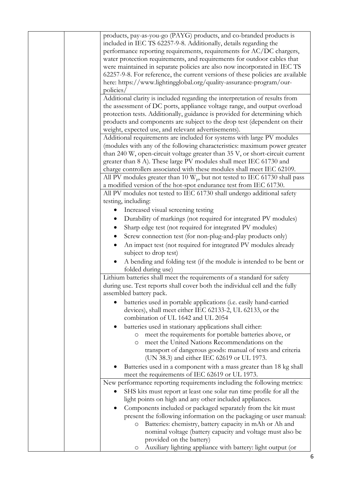| products, pay-as-you-go (PAYG) products, and co-branded products is<br>included in IEC TS 62257-9-8. Additionally, details regarding the<br>performance reporting requirements, requirements for AC/DC chargers,<br>water protection requirements, and requirements for outdoor cables that<br>were maintained in separate policies are also now incorporated in IEC TS<br>62257-9-8. For reference, the current versions of these policies are available<br>here: https://www.lightingglobal.org/quality-assurance-program/our-<br>policies/<br>Additional clarity is included regarding the interpretation of results from<br>the assessment of DC ports, appliance voltage range, and output overload<br>protection tests. Additionally, guidance is provided for determining which<br>products and components are subject to the drop test (dependent on their<br>weight, expected use, and relevant advertisements).<br>Additional requirements are included for systems with large PV modules<br>(modules with any of the following characteristics: maximum power greater<br>than 240 W, open-circuit voltage greater than 35 V, or short-circuit current |
|------------------------------------------------------------------------------------------------------------------------------------------------------------------------------------------------------------------------------------------------------------------------------------------------------------------------------------------------------------------------------------------------------------------------------------------------------------------------------------------------------------------------------------------------------------------------------------------------------------------------------------------------------------------------------------------------------------------------------------------------------------------------------------------------------------------------------------------------------------------------------------------------------------------------------------------------------------------------------------------------------------------------------------------------------------------------------------------------------------------------------------------------------------------|
| greater than 8 A). These large PV modules shall meet IEC 61730 and                                                                                                                                                                                                                                                                                                                                                                                                                                                                                                                                                                                                                                                                                                                                                                                                                                                                                                                                                                                                                                                                                               |
| charge controllers associated with these modules shall meet IEC 62109.                                                                                                                                                                                                                                                                                                                                                                                                                                                                                                                                                                                                                                                                                                                                                                                                                                                                                                                                                                                                                                                                                           |
| All PV modules greater than 10 $W_p$ , but not tested to IEC 61730 shall pass                                                                                                                                                                                                                                                                                                                                                                                                                                                                                                                                                                                                                                                                                                                                                                                                                                                                                                                                                                                                                                                                                    |
| a modified version of the hot-spot endurance test from IEC 61730.<br>All PV modules not tested to IEC 61730 shall undergo additional safety                                                                                                                                                                                                                                                                                                                                                                                                                                                                                                                                                                                                                                                                                                                                                                                                                                                                                                                                                                                                                      |
| testing, including:                                                                                                                                                                                                                                                                                                                                                                                                                                                                                                                                                                                                                                                                                                                                                                                                                                                                                                                                                                                                                                                                                                                                              |
| Increased visual screening testing                                                                                                                                                                                                                                                                                                                                                                                                                                                                                                                                                                                                                                                                                                                                                                                                                                                                                                                                                                                                                                                                                                                               |
| Durability of markings (not required for integrated PV modules)                                                                                                                                                                                                                                                                                                                                                                                                                                                                                                                                                                                                                                                                                                                                                                                                                                                                                                                                                                                                                                                                                                  |
| Sharp edge test (not required for integrated PV modules)                                                                                                                                                                                                                                                                                                                                                                                                                                                                                                                                                                                                                                                                                                                                                                                                                                                                                                                                                                                                                                                                                                         |
| Screw connection test (for non-plug-and-play products only)                                                                                                                                                                                                                                                                                                                                                                                                                                                                                                                                                                                                                                                                                                                                                                                                                                                                                                                                                                                                                                                                                                      |
| An impact test (not required for integrated PV modules already<br>subject to drop test)                                                                                                                                                                                                                                                                                                                                                                                                                                                                                                                                                                                                                                                                                                                                                                                                                                                                                                                                                                                                                                                                          |
| A bending and folding test (if the module is intended to be bent or<br>folded during use)                                                                                                                                                                                                                                                                                                                                                                                                                                                                                                                                                                                                                                                                                                                                                                                                                                                                                                                                                                                                                                                                        |
| Lithium batteries shall meet the requirements of a standard for safety<br>during use. Test reports shall cover both the individual cell and the fully<br>assembled battery pack.                                                                                                                                                                                                                                                                                                                                                                                                                                                                                                                                                                                                                                                                                                                                                                                                                                                                                                                                                                                 |
| batteries used in portable applications (i.e. easily hand-carried<br>devices), shall meet either IEC 62133-2, UL 62133, or the<br>combination of UL 1642 and UL 2054                                                                                                                                                                                                                                                                                                                                                                                                                                                                                                                                                                                                                                                                                                                                                                                                                                                                                                                                                                                             |
| batteries used in stationary applications shall either:                                                                                                                                                                                                                                                                                                                                                                                                                                                                                                                                                                                                                                                                                                                                                                                                                                                                                                                                                                                                                                                                                                          |
| meet the requirements for portable batteries above, or<br>$\circ$<br>meet the United Nations Recommendations on the<br>O<br>transport of dangerous goods: manual of tests and criteria                                                                                                                                                                                                                                                                                                                                                                                                                                                                                                                                                                                                                                                                                                                                                                                                                                                                                                                                                                           |
| (UN 38.3) and either IEC 62619 or UL 1973.<br>Batteries used in a component with a mass greater than 18 kg shall                                                                                                                                                                                                                                                                                                                                                                                                                                                                                                                                                                                                                                                                                                                                                                                                                                                                                                                                                                                                                                                 |
| meet the requirements of IEC 62619 or UL 1973.<br>New performance reporting requirements including the following metrics:                                                                                                                                                                                                                                                                                                                                                                                                                                                                                                                                                                                                                                                                                                                                                                                                                                                                                                                                                                                                                                        |
| SHS kits must report at least one solar run time profile for all the                                                                                                                                                                                                                                                                                                                                                                                                                                                                                                                                                                                                                                                                                                                                                                                                                                                                                                                                                                                                                                                                                             |
| light points on high and any other included appliances.                                                                                                                                                                                                                                                                                                                                                                                                                                                                                                                                                                                                                                                                                                                                                                                                                                                                                                                                                                                                                                                                                                          |
| Components included or packaged separately from the kit must                                                                                                                                                                                                                                                                                                                                                                                                                                                                                                                                                                                                                                                                                                                                                                                                                                                                                                                                                                                                                                                                                                     |
| present the following information on the packaging or user manual:<br>Batteries: chemistry, battery capacity in mAh or Ah and<br>O                                                                                                                                                                                                                                                                                                                                                                                                                                                                                                                                                                                                                                                                                                                                                                                                                                                                                                                                                                                                                               |
| nominal voltage (battery capacity and voltage must also be<br>provided on the battery)                                                                                                                                                                                                                                                                                                                                                                                                                                                                                                                                                                                                                                                                                                                                                                                                                                                                                                                                                                                                                                                                           |
| Auxiliary lighting appliance with battery: light output (or<br>O                                                                                                                                                                                                                                                                                                                                                                                                                                                                                                                                                                                                                                                                                                                                                                                                                                                                                                                                                                                                                                                                                                 |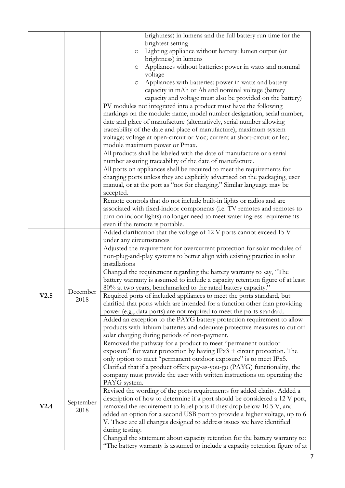|      |           | brightness) in lumens and the full battery run time for the                                                                                         |
|------|-----------|-----------------------------------------------------------------------------------------------------------------------------------------------------|
|      |           | brightest setting                                                                                                                                   |
|      |           | Lighting appliance without battery: lumen output (or<br>$\circ$<br>brightness) in lumens                                                            |
|      |           | Appliances without batteries: power in watts and nominal<br>O                                                                                       |
|      |           | voltage                                                                                                                                             |
|      |           | Appliances with batteries: power in watts and battery<br>$\circlearrowright$                                                                        |
|      |           | capacity in mAh or Ah and nominal voltage (battery                                                                                                  |
|      |           | capacity and voltage must also be provided on the battery)                                                                                          |
|      |           | PV modules not integrated into a product must have the following                                                                                    |
|      |           | markings on the module: name, model number designation, serial number,                                                                              |
|      |           | date and place of manufacture (alternatively, serial number allowing                                                                                |
|      |           | traceability of the date and place of manufacture), maximum system                                                                                  |
|      |           | voltage; voltage at open-circuit or Voc; current at short-circuit or Isc;                                                                           |
|      |           | module maximum power or Pmax.                                                                                                                       |
|      |           | All products shall be labeled with the date of manufacture or a serial                                                                              |
|      |           | number assuring traceability of the date of manufacture.                                                                                            |
|      |           | All ports on appliances shall be required to meet the requirements for                                                                              |
|      |           | charging ports unless they are explicitly advertised on the packaging, user                                                                         |
|      |           | manual, or at the port as "not for charging." Similar language may be                                                                               |
|      |           | accepted.                                                                                                                                           |
|      |           | Remote controls that do not include built-in lights or radios and are                                                                               |
|      |           | associated with fixed-indoor components (i.e. TV remotes and remotes to                                                                             |
|      |           | turn on indoor lights) no longer need to meet water ingress requirements                                                                            |
|      |           | even if the remote is portable.                                                                                                                     |
|      |           | Added clarification that the voltage of 12 V ports cannot exceed 15 V                                                                               |
|      |           | under any circumstances                                                                                                                             |
|      |           | Adjusted the requirement for overcurrent protection for solar modules of                                                                            |
|      |           | non-plug-and-play systems to better align with existing practice in solar<br>installations                                                          |
|      |           | Changed the requirement regarding the battery warranty to say, "The                                                                                 |
|      |           | battery warranty is assumed to include a capacity retention figure of at least                                                                      |
|      |           | 80% at two years, benchmarked to the rated battery capacity."                                                                                       |
| V2.5 | December  | Required ports of included appliances to meet the ports standard, but                                                                               |
|      | 2018      | clarified that ports which are intended for a function other than providing                                                                         |
|      |           | power (e.g., data ports) are not required to meet the ports standard.                                                                               |
|      |           | Added an exception to the PAYG battery protection requirement to allow                                                                              |
|      |           | products with lithium batteries and adequate protective measures to cut off                                                                         |
|      |           | solar charging during periods of non-payment.                                                                                                       |
|      |           | Removed the pathway for a product to meet "permanent outdoor                                                                                        |
|      |           | exposure" for water protection by having $IPx3$ + circuit protection. The                                                                           |
|      |           | only option to meet "permanent outdoor exposure" is to meet IPx5.                                                                                   |
|      |           | Clarified that if a product offers pay-as-you-go (PAYG) functionality, the                                                                          |
|      |           | company must provide the user with written instructions on operating the                                                                            |
|      |           | PAYG system.                                                                                                                                        |
|      |           | Revised the wording of the ports requirements for added clarity. Added a                                                                            |
| V2.4 | September | description of how to determine if a port should be considered a 12 V port,                                                                         |
|      | 2018      | removed the requirement to label ports if they drop below 10.5 V, and<br>added an option for a second USB port to provide a higher voltage, up to 6 |
|      |           | V. These are all changes designed to address issues we have identified                                                                              |
|      |           | during testing.                                                                                                                                     |
|      |           | Changed the statement about capacity retention for the battery warranty to:                                                                         |
|      |           | "The battery warranty is assumed to include a capacity retention figure of at                                                                       |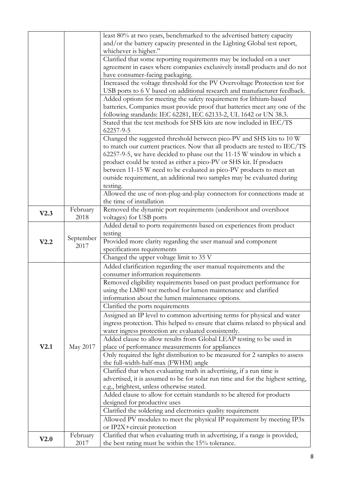|      |           | least 80% at two years, benchmarked to the advertised battery capacity                                                                         |
|------|-----------|------------------------------------------------------------------------------------------------------------------------------------------------|
|      |           | and/or the battery capacity presented in the Lighting Global test report,                                                                      |
|      |           | whichever is higher."                                                                                                                          |
|      |           | Clarified that some reporting requirements may be included on a user                                                                           |
|      |           | agreement in cases where companies exclusively install products and do not                                                                     |
|      |           | have consumer-facing packaging.                                                                                                                |
|      |           | Increased the voltage threshold for the PV Overvoltage Protection test for                                                                     |
|      |           | USB ports to 6 V based on additional research and manufacturer feedback.                                                                       |
|      |           | Added options for meeting the safety requirement for lithium-based                                                                             |
|      |           | batteries. Companies must provide proof that batteries meet any one of the<br>following standards: IEC 62281, IEC 62133-2, UL 1642 or UN 38.3. |
|      |           | Stated that the test methods for SHS kits are now included in IEC/TS<br>62257-9-5                                                              |
|      |           | Changed the suggested threshold between pico-PV and SHS kits to 10 W                                                                           |
|      |           | to match our current practices. Now that all products are tested to IEC/TS                                                                     |
|      |           | 62257-9-5, we have decided to phase out the 11-15 W window in which a                                                                          |
|      |           | product could be tested as either a pico-PV or SHS kit. If products                                                                            |
|      |           | between 11-15 W need to be evaluated as pico-PV products to meet an                                                                            |
|      |           | outside requirement, an additional two samples may be evaluated during                                                                         |
|      |           | testing.                                                                                                                                       |
|      |           | Allowed the use of non-plug-and-play connectors for connections made at                                                                        |
|      |           | the time of installation                                                                                                                       |
|      | February  | Removed the dynamic port requirements (undershoot and overshoot                                                                                |
| V2.3 | 2018      | voltages) for USB ports                                                                                                                        |
|      |           | Added detail to ports requirements based on experiences from product                                                                           |
|      |           | testing                                                                                                                                        |
| V2.2 | September | Provided more clarity regarding the user manual and component                                                                                  |
|      | 2017      | specifications requirements                                                                                                                    |
|      |           | Changed the upper voltage limit to 35 V                                                                                                        |
|      |           | Added clarification regarding the user manual requirements and the                                                                             |
|      |           | consumer information requirements                                                                                                              |
|      |           | Removed eligibility requirements based on past product performance for                                                                         |
|      |           | using the LM80 test method for lumen maintenance and clarified                                                                                 |
|      |           | information about the lumen maintenance options.                                                                                               |
|      |           | Clarified the ports requirements                                                                                                               |
|      |           | Assigned an IP level to common advertising terms for physical and water                                                                        |
|      |           | ingress protection. This helped to ensure that claims related to physical and                                                                  |
|      |           | water ingress protection are evaluated consistently.                                                                                           |
|      |           | Added clause to allow results from Global LEAP testing to be used in                                                                           |
| V2.1 | May 2017  | place of performance measurements for appliances                                                                                               |
|      |           | Only required the light distribution to be measured for 2 samples to assess                                                                    |
|      |           | the full-width-half-max (FWHM) angle                                                                                                           |
|      |           | Clarified that when evaluating truth in advertising, if a run time is                                                                          |
|      |           | advertised, it is assumed to be for solar run time and for the highest setting,                                                                |
|      |           | e.g., brightest, unless otherwise stated.                                                                                                      |
|      |           | Added clause to allow for certain standards to be altered for products                                                                         |
|      |           | designed for productive uses                                                                                                                   |
|      |           | Clarified the soldering and electronics quality requirement                                                                                    |
|      |           | Allowed PV modules to meet the physical IP requirement by meeting IP3x                                                                         |
|      |           | or IP2X+circuit protection                                                                                                                     |
| V2.0 | February  | Clarified that when evaluating truth in advertising, if a range is provided,                                                                   |
|      | 2017      | the best rating must be within the 15% tolerance.                                                                                              |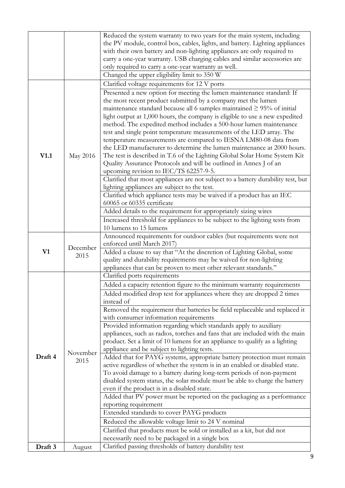|         |                  | Reduced the system warranty to two years for the main system, including          |
|---------|------------------|----------------------------------------------------------------------------------|
|         |                  | the PV module, control box, cables, lights, and battery. Lighting appliances     |
|         |                  | with their own battery and non-lighting appliances are only required to          |
|         |                  | carry a one-year warranty. USB charging cables and similar accessories are       |
|         |                  | only required to carry a one-year warranty as well.                              |
|         |                  | Changed the upper eligibility limit to 350 W                                     |
|         |                  | Clarified voltage requirements for 12 V ports                                    |
|         |                  | Presented a new option for meeting the lumen maintenance standard: If            |
|         |                  | the most recent product submitted by a company met the lumen                     |
|         |                  | maintenance standard because all 6 samples maintained $\geq$ 95% of initial      |
|         |                  | light output at 1,000 hours, the company is eligible to use a new expedited      |
|         |                  | method. The expedited method includes a 500-hour lumen maintenance               |
|         |                  | test and single point temperature measurements of the LED array. The             |
|         |                  | temperature measurements are compared to IESNA LM80-08 data from                 |
|         |                  | the LED manufacturer to determine the lumen maintenance at 2000 hours.           |
| V1.1    | May 2016         | The test is described in T.6 of the Lighting Global Solar Home System Kit        |
|         |                  | Quality Assurance Protocols and will be outlined in Annex J of an                |
|         |                  | upcoming revision to IEC/TS 62257-9-5.                                           |
|         |                  | Clarified that most appliances are not subject to a battery durability test, but |
|         |                  | lighting appliances are subject to the test.                                     |
|         |                  | Clarified which appliance tests may be waived if a product has an IEC            |
|         |                  | 60065 or 60335 certificate                                                       |
|         |                  | Added details to the requirement for appropriately sizing wires                  |
|         |                  | Increased threshold for appliances to be subject to the lighting tests from      |
|         |                  | 10 lumens to 15 lumens                                                           |
|         |                  | Announced requirements for outdoor cables (but requirements were not             |
|         |                  | enforced until March 2017)                                                       |
| V1      | December         | Added a clause to say that "At the discretion of Lighting Global, some           |
|         | 2015             | quality and durability requirements may be waived for non-lighting               |
|         |                  | appliances that can be proven to meet other relevant standards."                 |
|         |                  | Clarified ports requirements                                                     |
|         |                  | Added a capacity retention figure to the minimum warranty requirements           |
| Draft 4 | November<br>2015 | Added modified drop test for appliances where they are dropped 2 times           |
|         |                  | instead of                                                                       |
|         |                  | Removed the requirement that batteries be field replaceable and replaced it      |
|         |                  | with consumer information requirements                                           |
|         |                  | Provided information regarding which standards apply to auxiliary                |
|         |                  | appliances, such as radios, torches and fans that are included with the main     |
|         |                  | product. Set a limit of 10 lumens for an appliance to qualify as a lighting      |
|         |                  | appliance and be subject to lighting tests.                                      |
|         |                  | Added that for PAYG systems, appropriate battery protection must remain          |
|         |                  | active regardless of whether the system is in an enabled or disabled state.      |
|         |                  | To avoid damage to a battery during long-term periods of non-payment             |
|         |                  | disabled system status, the solar module must be able to charge the battery      |
|         |                  | even if the product is in a disabled state.                                      |
|         |                  | Added that PV power must be reported on the packaging as a performance           |
|         |                  | reporting requirement                                                            |
|         |                  | Extended standards to cover PAYG products                                        |
|         |                  | Reduced the allowable voltage limit to 24 V nominal                              |
|         |                  | Clarified that products must be sold or installed as a kit, but did not          |
|         |                  | necessarily need to be packaged in a single box                                  |
| Draft 3 | August           | Clarified passing thresholds of battery durability test                          |